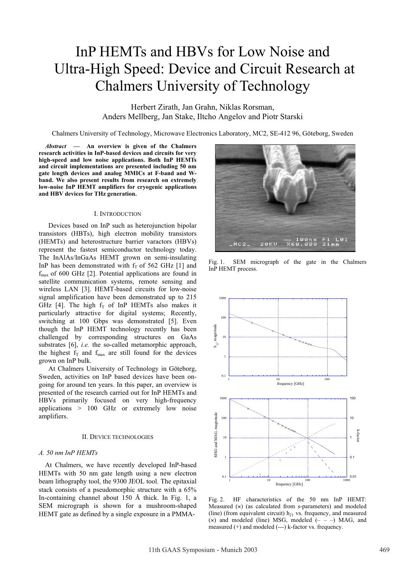# InP HEMTs and HBVs for Low Noise and Ultra-High Speed: Device and Circuit Research at Chalmers University of Technology

Herbert Zirath, Jan Grahn, Niklas Rorsman, Anders Mellberg, Jan Stake, Iltcho Angelov and Piotr Starski

Chalmers University of Technology, Microwave Electronics Laboratory, MC2, SE-412 96, Göteborg, Sweden

*Abstract* **— An overview is given of the Chalmers research activities in InP-based devices and circuits for very high-speed and low noise applications. Both InP HEMTs and circuit implementations are presented including 50 nm gate length devices and analog MMICs at F-band and Wband. We also present results from research on extremely low-noise InP HEMT amplifiers for cryogenic applications and HBV devices for THz generation.** 

#### I. INTRODUCTION

Devices based on InP such as heterojunction bipolar transistors (HBTs), high electron mobility transistors (HEMTs) and heterostructure barrier varactors (HBVs) represent the fastest semiconductor technology today. The InAlAs/InGaAs HEMT grown on semi-insulating InP has been demonstrated with  $f<sub>T</sub>$  of 562 GHz [1] and  $f_{\text{max}}$  of 600 GHz [2]. Potential applications are found in satellite communication systems, remote sensing and wireless LAN [3]. HEMT-based circuits for low-noise signal amplification have been demonstrated up to 215 GHz [4]. The high  $f<sub>T</sub>$  of InP HEMTs also makes it particularly attractive for digital systems; Recently, switching at 100 Gbps was demonstrated [5]. Even though the InP HEMT technology recently has been challenged by corresponding structures on GaAs substrates [6], *i.e.* the so-called metamorphic approach, the highest  $f_T$  and  $f_{max}$  are still found for the devices grown on InP bulk.

At Chalmers University of Technology in Göteborg, Sweden, activities on InP based devices have been ongoing for around ten years. In this paper, an overview is presented of the research carried out for InP HEMTs and HBVs primarily focused on very high-frequency applications > 100 GHz or extremely low noise amplifiers.

## II. DEVICE TECHNOLOGIES

#### *A. 50 nm InP HEMTs*

At Chalmers, we have recently developed InP-based HEMTs with 50 nm gate length using a new electron beam lithography tool, the 9300 JEOL tool. The epitaxial stack consists of a pseudomorphic structure with a 65% In-containing channel about 150 Å thick. In Fig. 1, a SEM micrograph is shown for a mushroom-shaped HEMT gate as defined by a single exposure in a PMMA-



Fig. 1. SEM micrograph of the gate in the Chalmers InP HEMT process.



Fig. 2. HF characteristics of the 50 nm InP HEMT: Measured (×) (as calculated from s-parameters) and modeled (line) (from equivalent circuit)  $h_{21}$  vs. frequency, and measured  $(x)$  and modeled (line) MSG, modeled  $(- - )$  MAG, and measured (+) and modeled (---) k-factor vs. frequency.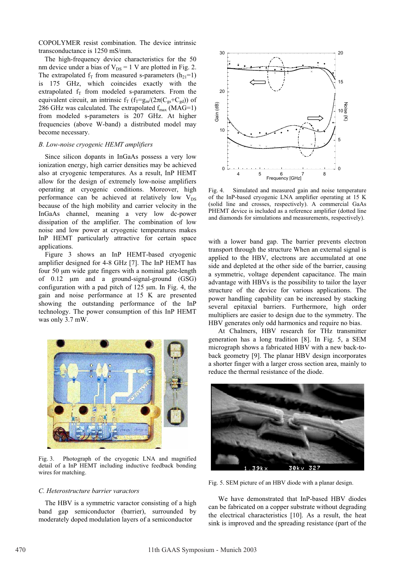COPOLYMER resist combination. The device intrinsic transconductance is 1250 mS/mm.

The high-frequency device characteristics for the 50 nm device under a bias of  $V_{DS} = 1$  V are plotted in Fig. 2. The extrapolated  $f_T$  from measured s-parameters  $(h_{21}=1)$ is 175 GHz, which coincides exactly with the extrapolated  $f_T$  from modeled s-parameters. From the equivalent circuit, an intrinsic  $f_T (f_T = g_m/(2\pi(C_{gs} + C_{gd}))$  of 286 GHz was calculated. The extrapolated  $f_{\text{max}}$  (MAG=1) from modeled s-parameters is 207 GHz. At higher frequencies (above W-band) a distributed model may become necessary.

## *B. Low-noise cryogenic HEMT amplifiers*

Since silicon dopants in InGaAs possess a very low ionization energy, high carrier densities may be achieved also at cryogenic temperatures. As a result, InP HEMT allow for the design of extremely low-noise amplifiers operating at cryogenic conditions. Moreover, high performance can be achieved at relatively low  $V_{DS}$ because of the high mobility and carrier velocity in the InGaAs channel, meaning a very low dc-power dissipation of the amplifier. The combination of low noise and low power at cryogenic temperatures makes InP HEMT particularly attractive for certain space applications.

Figure 3 shows an InP HEMT-based cryogenic amplifier designed for 4-8 GHz [7]. The InP HEMT has four 50 µm wide gate fingers with a nominal gate-length of 0.12 µm and a ground-signal-ground (GSG) configuration with a pad pitch of  $125 \mu m$ . In Fig. 4, the gain and noise performance at 15 K are presented showing the outstanding performance of the InP technology. The power consumption of this InP HEMT was only 3.7 mW.



Fig. 3. Photograph of the cryogenic LNA and magnified detail of a InP HEMT including inductive feedback bonding wires for matching.

## *C. Heterostructure barrier varactors*

The HBV is a symmetric varactor consisting of a high band gap semiconductor (barrier), surrounded by moderately doped modulation layers of a semiconductor



Fig. 4. Simulated and measured gain and noise temperature of the InP-based cryogenic LNA amplifier operating at 15 K (solid line and crosses, respectively). A commercial GaAs PHEMT device is included as a reference amplifier (dotted line and diamonds for simulations and measurements, respectively).

with a lower band gap. The barrier prevents electron transport through the structure When an external signal is applied to the HBV, electrons are accumulated at one side and depleted at the other side of the barrier, causing a symmetric, voltage dependent capacitance. The main advantage with HBVs is the possibility to tailor the layer structure of the device for various applications. The power handling capability can be increased by stacking several epitaxial barriers. Furthermore, high order multipliers are easier to design due to the symmetry. The HBV generates only odd harmonics and require no bias.

At Chalmers, HBV research for THz transmitter generation has a long tradition [8]. In Fig. 5, a SEM micrograph shows a fabricated HBV with a new back-toback geometry [9]. The planar HBV design incorporates a shorter finger with a larger cross section area, mainly to reduce the thermal resistance of the diode.



Fig. 5. SEM picture of an HBV diode with a planar design.

We have demonstrated that InP-based HBV diodes can be fabricated on a copper substrate without degrading the electrical characteristics [10]. As a result, the heat sink is improved and the spreading resistance (part of the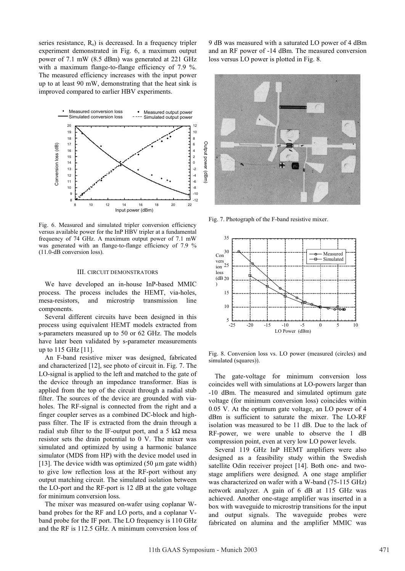series resistance,  $R_s$ ) is decreased. In a frequency tripler experiment demonstrated in Fig. 6, a maximum output power of 7.1 mW (8.5 dBm) was generated at 221 GHz with a maximum flange-to-flange efficiency of 7.9 %. The measured efficiency increases with the input power up to at least 90 mW, demonstrating that the heat sink is improved compared to earlier HBV experiments.



Fig. 6. Measured and simulated tripler conversion efficiency versus available power for the InP HBV tripler at a fundamental frequency of 74 GHz. A maximum output power of 7.1 mW was generated with an flange-to-flange efficiency of 7.9 % (11.0-dB conversion loss).

## III. CIRCUIT DEMONSTRATORS

We have developed an in-house InP-based MMIC process. The process includes the HEMT, via-holes, mesa-resistors, and microstrip transmission line components.

Several different circuits have been designed in this process using equivalent HEMT models extracted from s-parameters measured up to 50 or 62 GHz. The models have later been validated by s-parameter measurements up to 115 GHz [11].

An F-band resistive mixer was designed, fabricated and characterized [12], see photo of circuit in. Fig. 7. The LO-signal is applied to the left and matched to the gate of the device through an impedance transformer. Bias is applied from the top of the circuit through a radial stub filter. The sources of the device are grounded with viaholes. The RF-signal is connected from the right and a finger coupler serves as a combined DC-block and highpass filter. The IF is extracted from the drain through a radial stub filter to the IF-output port, and a 5  $k\Omega$  mesa resistor sets the drain potential to 0 V. The mixer was simulated and optimized by using a harmonic balance simulator (MDS from HP) with the device model used in [13]. The device width was optimized  $(50 \mu m)$  gate width) to give low reflection loss at the RF-port without any output matching circuit. The simulated isolation between the LO-port and the RF-port is 12 dB at the gate voltage for minimum conversion loss.

The mixer was measured on-wafer using coplanar Wband probes for the RF and LO ports, and a coplanar Vband probe for the IF port. The LO frequency is 110 GHz and the RF is 112.5 GHz. A minimum conversion loss of

9 dB was measured with a saturated LO power of 4 dBm and an RF power of -14 dBm. The measured conversion loss versus LO power is plotted in Fig. 8.



Fig. 7. Photograph of the F-band resistive mixer.



Fig. 8. Conversion loss vs. LO power (measured (circles) and simulated (squares)).

The gate-voltage for minimum conversion loss coincides well with simulations at LO-powers larger than -10 dBm. The measured and simulated optimum gate voltage (for minimum conversion loss) coincides within 0.05 V. At the optimum gate voltage, an LO power of 4 dBm is sufficient to saturate the mixer. The LO-RF isolation was measured to be 11 dB. Due to the lack of RF-power, we were unable to observe the 1 dB compression point, even at very low LO power levels.

Several 119 GHz InP HEMT amplifiers were also designed as a feasibility study within the Swedish satellite Odin receiver project [14]. Both one- and twostage amplifiers were designed. A one stage amplifier was characterized on wafer with a W-band (75-115 GHz) network analyzer. A gain of 6 dB at 115 GHz was achieved. Another one-stage amplifier was inserted in a box with waveguide to microstrip transitions for the input and output signals. The waveguide probes were fabricated on alumina and the amplifier MMIC was